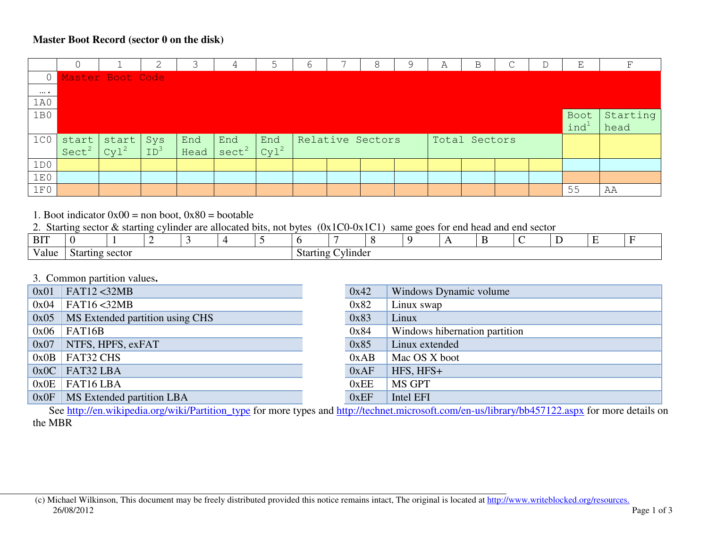#### **Master Boot Record (sector 0 on the disk)**

|                  |                   |                  |                 |      |                   |                  | h |                  | А | В             |  |                  |          |
|------------------|-------------------|------------------|-----------------|------|-------------------|------------------|---|------------------|---|---------------|--|------------------|----------|
| $\overline{0}$   |                   | Master Boot Code |                 |      |                   |                  |   |                  |   |               |  |                  |          |
| $\cdots$         |                   |                  |                 |      |                   |                  |   |                  |   |               |  |                  |          |
| 1A0              |                   |                  |                 |      |                   |                  |   |                  |   |               |  |                  |          |
| 1B0              |                   |                  |                 |      |                   |                  |   |                  |   |               |  | Boot             | Starting |
|                  |                   |                  |                 |      |                   |                  |   |                  |   |               |  | ind <sup>1</sup> | head     |
| 1 <sub>C</sub> 0 | start             | start            | Sys             | End  | End               | End              |   | Relative Sectors |   | Total Sectors |  |                  |          |
|                  | Sect <sup>2</sup> | cy1 <sup>2</sup> | ID <sup>3</sup> | Head | sect <sup>2</sup> | cy1 <sup>2</sup> |   |                  |   |               |  |                  |          |
| 1D0              |                   |                  |                 |      |                   |                  |   |                  |   |               |  |                  |          |
| 1E0              |                   |                  |                 |      |                   |                  |   |                  |   |               |  |                  |          |
| 1F0              |                   |                  |                 |      |                   |                  |   |                  |   |               |  | 55               | AA       |

1. Boot indicator  $0x00 =$  non boot,  $0x80 =$  bootable

2. Starting sector & starting cylinder are allocated bits, not bytes (0x1C0-0x1C1) same goes for end head and end sector

| <b>BIT</b> |                    |  |  |  |  |  |  |                                    |  |  |  |  |
|------------|--------------------|--|--|--|--|--|--|------------------------------------|--|--|--|--|
| Value      | sector<br>Starting |  |  |  |  |  |  | - -<br><b>Starting</b><br>bvlinder |  |  |  |  |

# 3. Common partition values**.**

| 0x01 | FAT12 <32MB                      | 0x42 | Windows Dynamic volume        |
|------|----------------------------------|------|-------------------------------|
| 0x04 | FAT16 < 32MB                     | 0x82 | Linux swap                    |
| 0x05 | MS Extended partition using CHS  | 0x83 | Linux                         |
| 0x06 | FAT16B                           | 0x84 | Windows hibernation partition |
| 0x07 | $\vert$ NTFS, HPFS, exFAT        | 0x85 | Linux extended                |
|      | $0x0B$ FAT32 CHS                 | 0xAB | Mac OS X boot                 |
|      | $0x0C$ FAT32 LBA                 | 0xAF | $HFS, HFS+$                   |
|      | $0x0E$ FAT16 LBA                 | 0xEE | MS GPT                        |
|      | $0x0F$ MS Extended partition LBA | 0xEF | Intel EFI                     |

See http://en.wikipedia.org/wiki/Partition\_type for more types and http://technet.microsoft.com/en-us/library/bb457122.aspx for more details on the MBR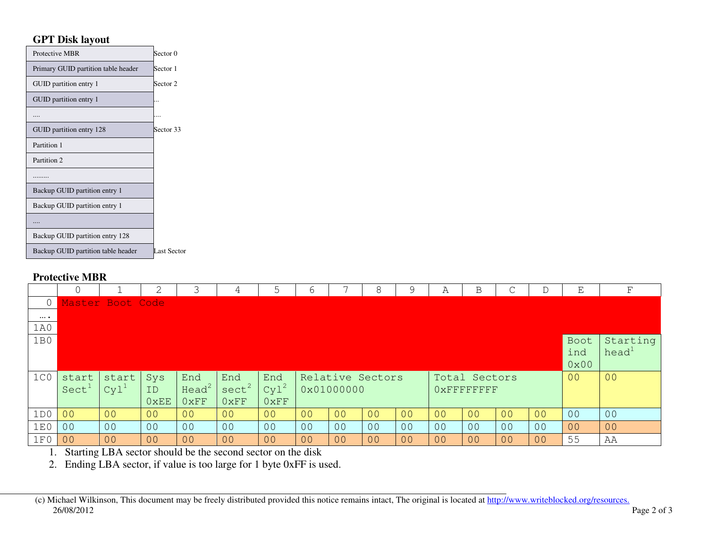### **GPT Disk layout**

| Protective MBR                      | Sector 0    |
|-------------------------------------|-------------|
| Primary GUID partition table header | Sector 1    |
| GUID partition entry 1              | Sector 2    |
| GUID partition entry 1              |             |
|                                     |             |
| GUID partition entry 128            | Sector 33   |
| Partition 1                         |             |
| Partition 2                         |             |
|                                     |             |
| Backup GUID partition entry 1       |             |
| Backup GUID partition entry 1       |             |
|                                     |             |
| Backup GUID partition entry 128     |             |
| Backup GUID partition table header  | Last Sector |

#### **Protective MBR**

|                  | 0                 |                  |                |                   | 4                 |                | 6              |                | 8                | 9              | А              | Β              | $\sim$         |                | Ε              | F                 |
|------------------|-------------------|------------------|----------------|-------------------|-------------------|----------------|----------------|----------------|------------------|----------------|----------------|----------------|----------------|----------------|----------------|-------------------|
| 0                |                   | Master Boot Code |                |                   |                   |                |                |                |                  |                |                |                |                |                |                |                   |
| $\cdots$         |                   |                  |                |                   |                   |                |                |                |                  |                |                |                |                |                |                |                   |
| 1A0              |                   |                  |                |                   |                   |                |                |                |                  |                |                |                |                |                |                |                   |
| 1B0              |                   |                  |                |                   |                   |                |                |                |                  |                |                |                |                |                | Boot           | Starting          |
|                  |                   |                  |                |                   |                   |                |                |                |                  |                |                |                |                |                | ind            | head <sup>1</sup> |
|                  |                   |                  |                |                   |                   |                |                |                |                  |                |                |                |                |                | 0x00           |                   |
|                  |                   |                  |                |                   |                   |                |                |                |                  |                |                |                |                |                |                |                   |
| 1 <sub>C</sub> 0 | start             | start            | Sys            | End               | End               | End            |                |                | Relative Sectors |                |                | Total Sectors  |                |                | 0 <sup>0</sup> | 00                |
|                  | Sect <sup>1</sup> | $Cyl^1$          | ID             | Head <sup>2</sup> | sect <sup>2</sup> | $Cyl^2$        |                | 0x01000000     |                  |                |                | OXFFFFFFFFF    |                |                |                |                   |
|                  |                   |                  | 0xEE           | 0xFF              | 0xFF              | 0xFF           |                |                |                  |                |                |                |                |                |                |                   |
| 1D0              | 00                | 00               | 00             | 0 <sup>0</sup>    | 00                | 00             | 0 <sup>0</sup> | 00             | 00               | 00             | 0 <sub>0</sub> | 0 <sup>0</sup> | 0 <sup>0</sup> | 0 <sup>0</sup> | 0 <sup>0</sup> | 0 <sup>0</sup>    |
| 1E0              | 0 <sup>0</sup>    | 0 <sup>0</sup>   | 0 <sub>0</sub> | 0 <sup>0</sup>    | 0 <sup>0</sup>    | 0 <sub>0</sub> | 0 <sup>0</sup> | 0 <sup>0</sup> | 0 <sup>0</sup>   | 0 <sup>0</sup> | 0 <sub>0</sub> | 0 <sub>0</sub> | 0 <sub>0</sub> | 00             | 00             | 00                |
| 1F0              | 0 <sup>0</sup>    | 00               | 0 <sup>0</sup> | 0 <sub>0</sub>    | 00                | 0 <sub>0</sub> | 0 <sub>0</sub> | 00             | 00               | 00             | 0 <sub>0</sub> | 0 <sub>0</sub> | 0 <sub>0</sub> | 00             | 55             | AA                |

2. Ending LBA sector, if value is too large for 1 byte 0xFF is used.

 <sup>(</sup>c) Michael Wilkinson, This document may be freely distributed provided this notice remains intact, The original is located at http://www.writeblocked.org/resources.26/08/2012 Page 2 of 3